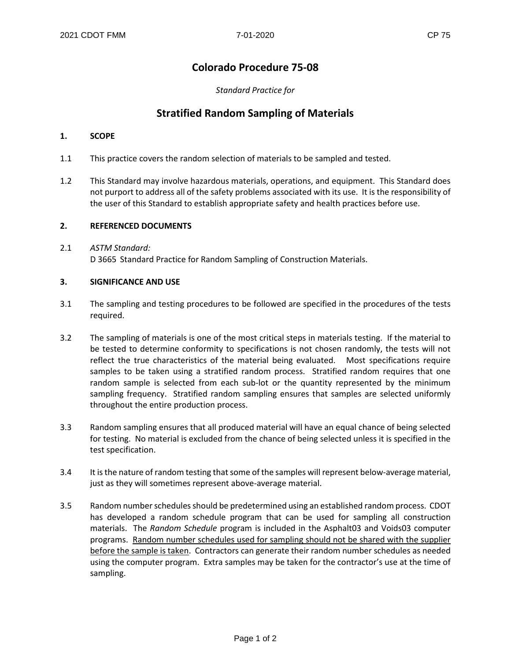# **Colorado Procedure 75-08**

## *Standard Practice for*

# **Stratified Random Sampling of Materials**

### **1. SCOPE**

- 1.1 This practice covers the random selection of materials to be sampled and tested.
- 1.2 This Standard may involve hazardous materials, operations, and equipment. This Standard does not purport to address all of the safety problems associated with its use. It is the responsibility of the user of this Standard to establish appropriate safety and health practices before use.

#### **2. REFERENCED DOCUMENTS**

2.1 *ASTM Standard:* D 3665 Standard Practice for Random Sampling of Construction Materials.

#### **3. SIGNIFICANCE AND USE**

- 3.1 The sampling and testing procedures to be followed are specified in the procedures of the tests required.
- 3.2 The sampling of materials is one of the most critical steps in materials testing. If the material to be tested to determine conformity to specifications is not chosen randomly, the tests will not reflect the true characteristics of the material being evaluated. Most specifications require samples to be taken using a stratified random process. Stratified random requires that one random sample is selected from each sub-lot or the quantity represented by the minimum sampling frequency. Stratified random sampling ensures that samples are selected uniformly throughout the entire production process.
- 3.3 Random sampling ensures that all produced material will have an equal chance of being selected for testing. No material is excluded from the chance of being selected unless it is specified in the test specification.
- 3.4 It is the nature of random testing that some of the samples will represent below-average material, just as they will sometimes represent above-average material.
- 3.5 Random number schedules should be predetermined using an established random process. CDOT has developed a random schedule program that can be used for sampling all construction materials. The *Random Schedule* program is included in the Asphalt03 and Voids03 computer programs. Random number schedules used for sampling should not be shared with the supplier before the sample is taken. Contractors can generate their random number schedules as needed using the computer program. Extra samples may be taken for the contractor's use at the time of sampling.